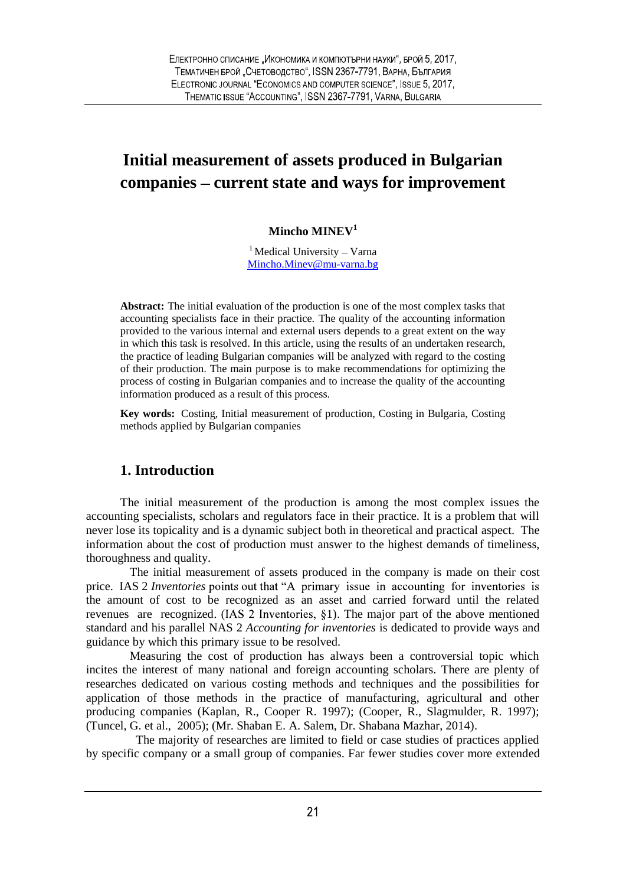# **Initial measurement of assets produced in Bulgarian companies current state and ways for improvement**

#### **Mincho MINEV<sup>1</sup>**

 $1$  Medical University – Varna Mincho.Minev@mu-varna.bg

**Abstract:** The initial evaluation of the production is one of the most complex tasks that accounting specialists face in their practice. The quality of the accounting information provided to the various internal and external users depends to a great extent on the way in which this task is resolved. In this article, using the results of an undertaken research, the practice of leading Bulgarian companies will be analyzed with regard to the costing of their production. The main purpose is to make recommendations for optimizing the process of costing in Bulgarian companies and to increase the quality of the accounting information produced as a result of this process.

**Key words:** Costing, Initial measurement of production, Costing in Bulgaria, Costing methods applied by Bulgarian companies

### **1. Introduction**

The initial measurement of the production is among the most complex issues the accounting specialists, scholars and regulators face in their practice. It is a problem that will never lose its topicality and is a dynamic subject both in theoretical and practical aspect. The information about the cost of production must answer to the highest demands of timeliness, thoroughness and quality.

The initial measurement of assets produced in the company is made on their cost price. IAS 2 *Inventories* points out that "A primary issue in accounting for inventories is the amount of cost to be recognized as an asset and carried forward until the related revenues are recognized. (IAS 2 Inventories,  $\S1$ ). The major part of the above mentioned standard and his parallel NAS 2 *Accounting for inventories* is dedicated to provide ways and guidance by which this primary issue to be resolved.

Measuring the cost of production has always been a controversial topic which incites the interest of many national and foreign accounting scholars. There are plenty of researches dedicated on various costing methods and techniques and the possibilities for application of those methods in the practice of manufacturing, agricultural and other producing companies (Kaplan, R., Cooper R. 1997); (Cooper, R., Slagmulder, R. 1997); (Tuncel, G. et al., 2005); (Mr. Shaban E. A. Salem, Dr. Shabana Mazhar, 2014).

The majority of researches are limited to field or case studies of practices applied by specific company or a small group of companies. Far fewer studies cover more extended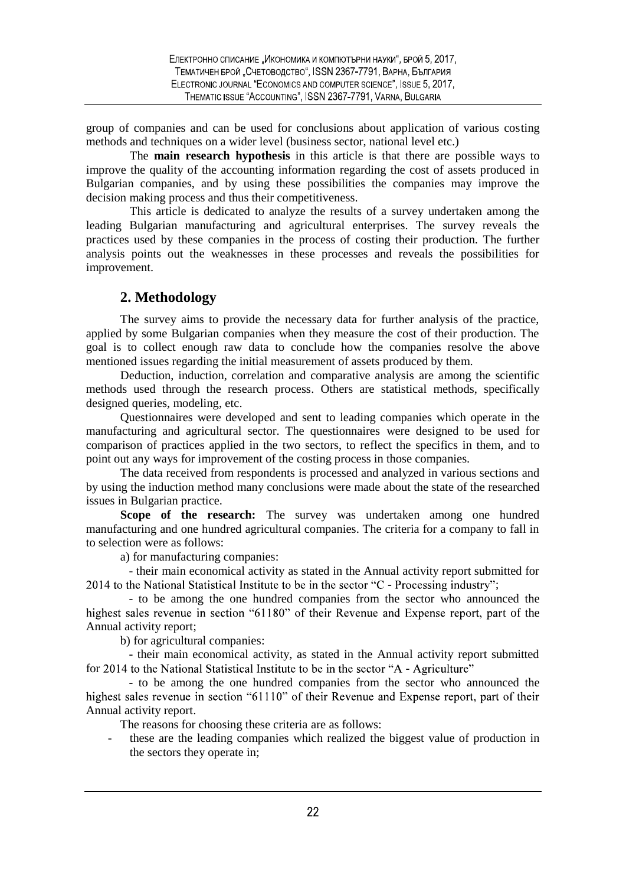group of companies and can be used for conclusions about application of various costing methods and techniques on a wider level (business sector, national level etc.)

The **main research hypothesis** in this article is that there are possible ways to improve the quality of the accounting information regarding the cost of assets produced in Bulgarian companies, and by using these possibilities the companies may improve the decision making process and thus their competitiveness.

This article is dedicated to analyze the results of a survey undertaken among the leading Bulgarian manufacturing and agricultural enterprises. The survey reveals the practices used by these companies in the process of costing their production. The further analysis points out the weaknesses in these processes and reveals the possibilities for improvement.

### **2. Methodology**

The survey aims to provide the necessary data for further analysis of the practice, applied by some Bulgarian companies when they measure the cost of their production. The goal is to collect enough raw data to conclude how the companies resolve the above mentioned issues regarding the initial measurement of assets produced by them.

Deduction, induction, correlation and comparative analysis are among the scientific methods used through the research process. Others are statistical methods, specifically designed queries, modeling, etc.

Questionnaires were developed and sent to leading companies which operate in the manufacturing and agricultural sector. The questionnaires were designed to be used for comparison of practices applied in the two sectors, to reflect the specifics in them, and to point out any ways for improvement of the costing process in those companies.

The data received from respondents is processed and analyzed in various sections and by using the induction method many conclusions were made about the state of the researched issues in Bulgarian practice.

**Scope of the research:** The survey was undertaken among one hundred manufacturing and one hundred agricultural companies. The criteria for a company to fall in to selection were as follows:

a) for manufacturing companies:

- their main economical activity as stated in the Annual activity report submitted for 2014 to the National Statistical Institute to be in the sector "C - Processing industry";

- to be among the one hundred companies from the sector who announced the highest sales revenue in section "61180" of their Revenue and Expense report, part of the Annual activity report;

b) for agricultural companies:

- their main economical activity, as stated in the Annual activity report submitted for 2014 to the National Statistical Institute to be in the sector "A - Agriculture"

- to be among the one hundred companies from the sector who announced the highest sales revenue in section "61110" of their Revenue and Expense report, part of their Annual activity report.

The reasons for choosing these criteria are as follows:

these are the leading companies which realized the biggest value of production in the sectors they operate in;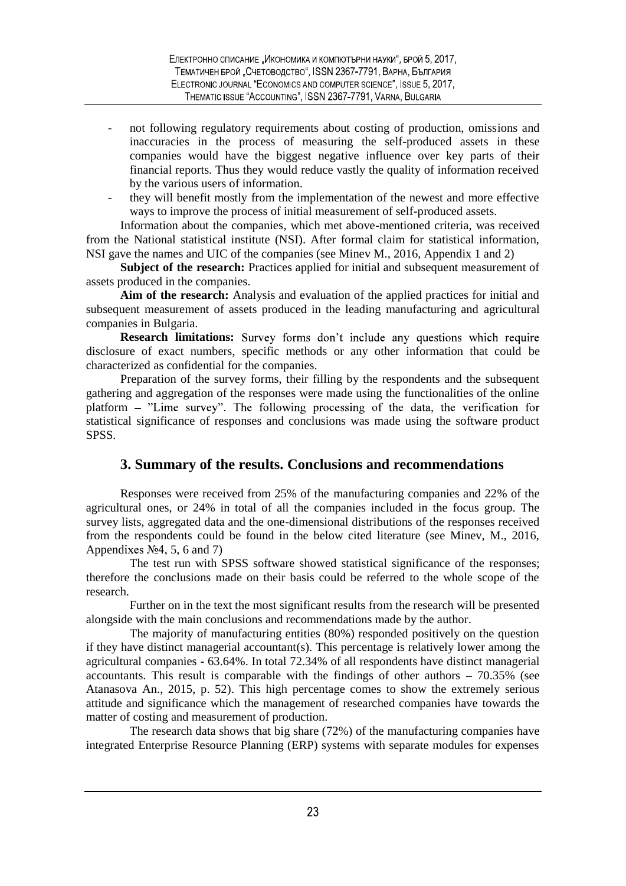- not following regulatory requirements about costing of production, omissions and inaccuracies in the process of measuring the self-produced assets in these companies would have the biggest negative influence over key parts of their financial reports. Thus they would reduce vastly the quality of information received by the various users of information.
- they will benefit mostly from the implementation of the newest and more effective ways to improve the process of initial measurement of self-produced assets.

Information about the companies, which met above-mentioned criteria, was received from the National statistical institute (NSI). After formal claim for statistical information, NSI gave the names and UIC of the companies (see Minev M., 2016, Appendix 1 and 2)

**Subject of the research:** Practices applied for initial and subsequent measurement of assets produced in the companies.

**Aim of the research:** Analysis and evaluation of the applied practices for initial and subsequent measurement of assets produced in the leading manufacturing and agricultural companies in Bulgaria.

**Research limitations:** Survey forms don't include any questions which require disclosure of exact numbers, specific methods or any other information that could be characterized as confidential for the companies.

Preparation of the survey forms, their filling by the respondents and the subsequent gathering and aggregation of the responses were made using the functionalities of the online platform - "Lime survey". The following processing of the data, the verification for statistical significance of responses and conclusions was made using the software product SPSS.

#### **3. Summary of the results. Conclusions and recommendations**

Responses were received from 25% of the manufacturing companies and 22% of the agricultural ones, or 24% in total of all the companies included in the focus group. The survey lists, aggregated data and the one-dimensional distributions of the responses received from the respondents could be found in the below cited literature (see Minev, M., 2016, Appendixes  $N<sub>2</sub>4$ , 5, 6 and 7)

The test run with SPSS software showed statistical significance of the responses; therefore the conclusions made on their basis could be referred to the whole scope of the research.

Further on in the text the most significant results from the research will be presented alongside with the main conclusions and recommendations made by the author.

The majority of manufacturing entities (80%) responded positively on the question if they have distinct managerial accountant(s). This percentage is relatively lower among the agricultural companies - 63.64%. In total 72.34% of all respondents have distinct managerial accountants. This result is comparable with the findings of other authors  $-70.35\%$  (see Atanasova An., 2015, p. 52). This high percentage comes to show the extremely serious attitude and significance which the management of researched companies have towards the matter of costing and measurement of production.

The research data shows that big share (72%) of the manufacturing companies have integrated Enterprise Resource Planning (ERP) systems with separate modules for expenses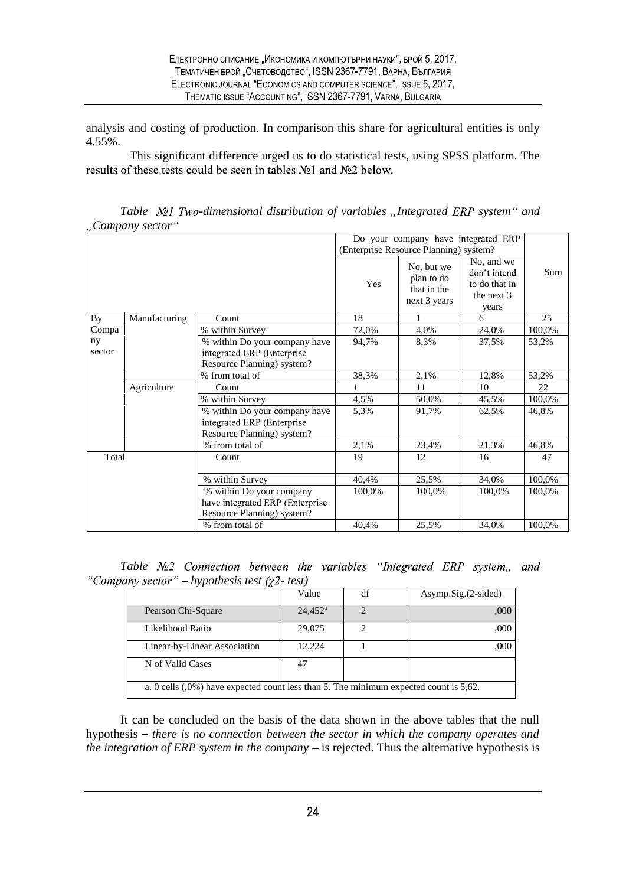analysis and costing of production. In comparison this share for agricultural entities is only 4.55%.

This significant difference urged us to do statistical tests, using SPSS platform. The results of these tests could be seen in tables  $N<sub>2</sub>1$  and  $N<sub>2</sub>2$  below.

| Table Not Two-dimensional distribution of variables "Integrated ERP system" and |                                     |
|---------------------------------------------------------------------------------|-------------------------------------|
| "Company sector"                                                                |                                     |
|                                                                                 | De veux compony hove integrated EDD |

|              |               |                                                                                            | Do your company have integrated ERP<br>(Enterprise Resource Planning) system? |                                                         |                                                                      |        |
|--------------|---------------|--------------------------------------------------------------------------------------------|-------------------------------------------------------------------------------|---------------------------------------------------------|----------------------------------------------------------------------|--------|
|              |               |                                                                                            | Yes                                                                           | No, but we<br>plan to do<br>that in the<br>next 3 years | No, and we<br>don't intend<br>to do that in<br>the next $3$<br>years | Sum    |
| By           | Manufacturing | Count                                                                                      | 18                                                                            |                                                         | 6                                                                    | 25     |
| Compa        |               | % within Survey                                                                            | 72,0%                                                                         | 4,0%                                                    | 24,0%                                                                | 100,0% |
| ny<br>sector |               | % within Do your company have<br>integrated ERP (Enterprise)<br>Resource Planning) system? | 94,7%                                                                         | 8,3%                                                    | 37,5%                                                                | 53,2%  |
|              |               | % from total of                                                                            | 38,3%                                                                         | 2,1%                                                    | 12,8%                                                                | 53,2%  |
|              | Agriculture   | Count                                                                                      |                                                                               | 11                                                      | 10                                                                   | 22     |
|              |               | % within Survey                                                                            | 4,5%                                                                          | 50,0%                                                   | 45,5%                                                                | 100,0% |
|              |               | % within Do your company have<br>integrated ERP (Enterprise<br>Resource Planning) system?  | 5,3%                                                                          | 91,7%                                                   | 62,5%                                                                | 46,8%  |
|              |               | % from total of                                                                            | 2,1%                                                                          | 23,4%                                                   | 21,3%                                                                | 46,8%  |
| Total        |               | Count                                                                                      | 19                                                                            | 12                                                      | 16                                                                   | 47     |
|              |               | % within Survey                                                                            | 40,4%                                                                         | 25,5%                                                   | 34,0%                                                                | 100,0% |
|              |               | % within Do your company<br>have integrated ERP (Enterprise<br>Resource Planning) system?  | 100,0%                                                                        | 100,0%                                                  | 100,0%                                                               | 100,0% |
|              |               | % from total of                                                                            | 40,4%                                                                         | 25,5%                                                   | 34,0%                                                                | 100,0% |

Table Nº2 Connection between the variables "Integrated ERP system,, and "*Company sector*" – *hypothesis test*  $(\chi^2 - \text{test})$ 

|                              | Value            | df | $Asymp.Sig.$ $(2-sided)$ |
|------------------------------|------------------|----|--------------------------|
| Pearson Chi-Square           | $24,452^{\circ}$ |    | .000.                    |
| Likelihood Ratio             | 29,075           | າ  | ,000                     |
| Linear-by-Linear Association | 12,224           |    | ,000                     |
| N of Valid Cases             | 47               |    |                          |

It can be concluded on the basis of the data shown in the above tables that the null hypothesis – there is no connection between the sector in which the company operates and *the integration of ERP system in the company*  $-$  is rejected. Thus the alternative hypothesis is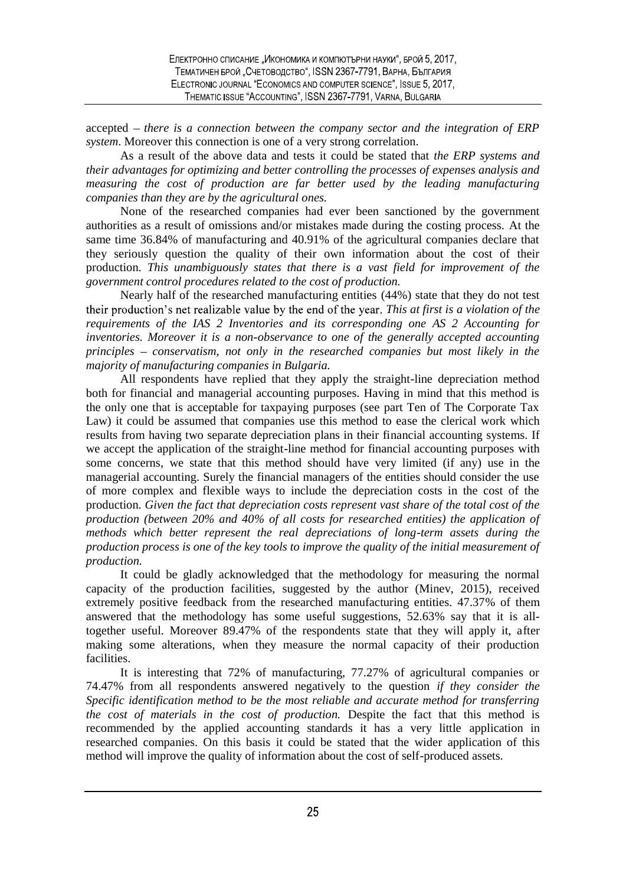accepted – there is a connection between the company sector and the integration of ERP *system*. Moreover this connection is one of a very strong correlation.

As a result of the above data and tests it could be stated that *the ERP systems and their advantages for optimizing and better controlling the processes of expenses analysis and measuring the cost of production are far better used by the leading manufacturing companies than they are by the agricultural ones.*

None of the researched companies had ever been sanctioned by the government authorities as a result of omissions and/or mistakes made during the costing process. At the same time 36.84% of manufacturing and 40.91% of the agricultural companies declare that they seriously question the quality of their own information about the cost of their production. *This unambiguously states that there is a vast field for improvement of the government control procedures related to the cost of production.*

Nearly half of the researched manufacturing entities (44%) state that they do not test *This at first is a violation of the requirements of the IAS 2 Inventories and its corresponding one AS 2 Accounting for inventories. Moreover it is a non-observance to one of the generally accepted accounting principles conservatism, not only in the researched companies but most likely in the majority of manufacturing companies in Bulgaria.*

All respondents have replied that they apply the straight-line depreciation method both for financial and managerial accounting purposes. Having in mind that this method is the only one that is acceptable for taxpaying purposes (see part Ten of The Corporate Tax Law) it could be assumed that companies use this method to ease the clerical work which results from having two separate depreciation plans in their financial accounting systems. If we accept the application of the straight-line method for financial accounting purposes with some concerns, we state that this method should have very limited (if any) use in the managerial accounting. Surely the financial managers of the entities should consider the use of more complex and flexible ways to include the depreciation costs in the cost of the production. *Given the fact that depreciation costs represent vast share of the total cost of the production (between 20% and 40% of all costs for researched entities) the application of methods which better represent the real depreciations of long-term assets during the production process is one of the key tools to improve the quality of the initial measurement of production.*

It could be gladly acknowledged that the methodology for measuring the normal capacity of the production facilities, suggested by the author (Minev, 2015), received extremely positive feedback from the researched manufacturing entities. 47.37% of them answered that the methodology has some useful suggestions, 52.63% say that it is alltogether useful. Moreover 89.47% of the respondents state that they will apply it, after making some alterations, when they measure the normal capacity of their production facilities.

It is interesting that 72% of manufacturing, 77.27% of agricultural companies or 74.47% from all respondents answered negatively to the question *if they consider the Specific identification method to be the most reliable and accurate method for transferring the cost of materials in the cost of production.* Despite the fact that this method is recommended by the applied accounting standards it has a very little application in researched companies. On this basis it could be stated that the wider application of this method will improve the quality of information about the cost of self-produced assets.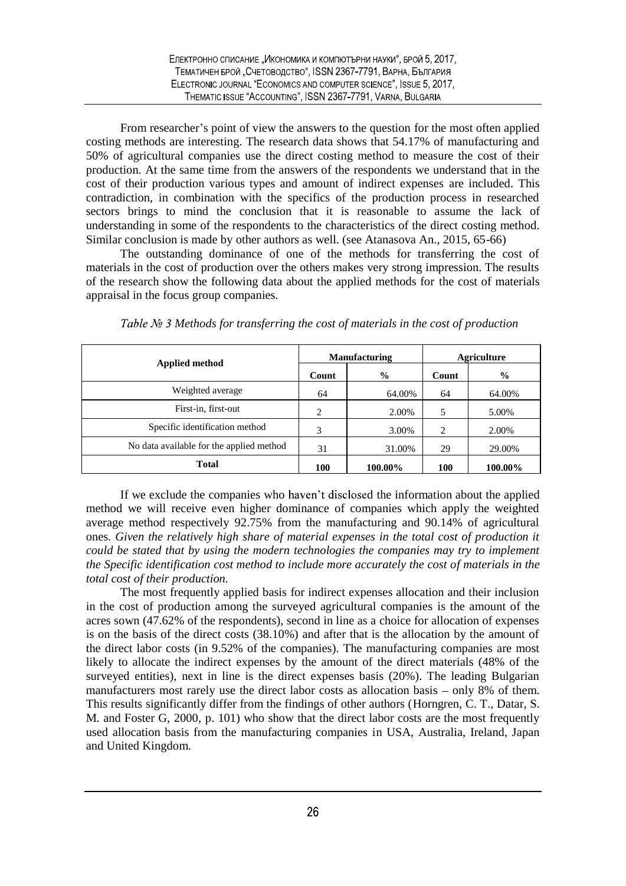From researcher's point of view the answers to the question for the most often applied costing methods are interesting. The research data shows that 54.17% of manufacturing and 50% of agricultural companies use the direct costing method to measure the cost of their production. At the same time from the answers of the respondents we understand that in the cost of their production various types and amount of indirect expenses are included. This contradiction, in combination with the specifics of the production process in researched sectors brings to mind the conclusion that it is reasonable to assume the lack of understanding in some of the respondents to the characteristics of the direct costing method. Similar conclusion is made by other authors as well. (see Atanasova An., 2015, 65-66)

The outstanding dominance of one of the methods for transferring the cost of materials in the cost of production over the others makes very strong impression. The results of the research show the following data about the applied methods for the cost of materials appraisal in the focus group companies.

| Applied method                           | <b>Manufacturing</b> |               | <b>Agriculture</b> |               |
|------------------------------------------|----------------------|---------------|--------------------|---------------|
|                                          | Count                | $\frac{0}{0}$ | Count              | $\frac{6}{9}$ |
| Weighted average                         | 64                   | 64.00%        | 64                 | 64.00%        |
| First-in, first-out                      | 2                    | 2.00%         | 5                  | 5.00%         |
| Specific identification method           | 3                    | 3.00%         | 2                  | 2.00%         |
| No data available for the applied method | 31                   | 31.00%        | 29                 | 29.00%        |
| <b>Total</b>                             | 100                  | 100.00%       | 100                | 100.00%       |

*Table № 3 Methods for transferring the cost of materials in the cost of production* 

If we exclude the companies who haven't disclosed the information about the applied method we will receive even higher dominance of companies which apply the weighted average method respectively 92.75% from the manufacturing and 90.14% of agricultural ones. *Given the relatively high share of material expenses in the total cost of production it could be stated that by using the modern technologies the companies may try to implement the Specific identification cost method to include more accurately the cost of materials in the total cost of their production.*

The most frequently applied basis for indirect expenses allocation and their inclusion in the cost of production among the surveyed agricultural companies is the amount of the acres sown (47.62% of the respondents), second in line as a choice for allocation of expenses is on the basis of the direct costs (38.10%) and after that is the allocation by the amount of the direct labor costs (in 9.52% of the companies). The manufacturing companies are most likely to allocate the indirect expenses by the amount of the direct materials (48% of the surveyed entities), next in line is the direct expenses basis (20%). The leading Bulgarian manufacturers most rarely use the direct labor costs as allocation basis  $-$  only 8% of them. This results significantly differ from the findings of other authors (Horngren, C. T., Datar, S. M. and Foster G, 2000, p. 101) who show that the direct labor costs are the most frequently used allocation basis from the manufacturing companies in USA, Australia, Ireland, Japan and United Kingdom.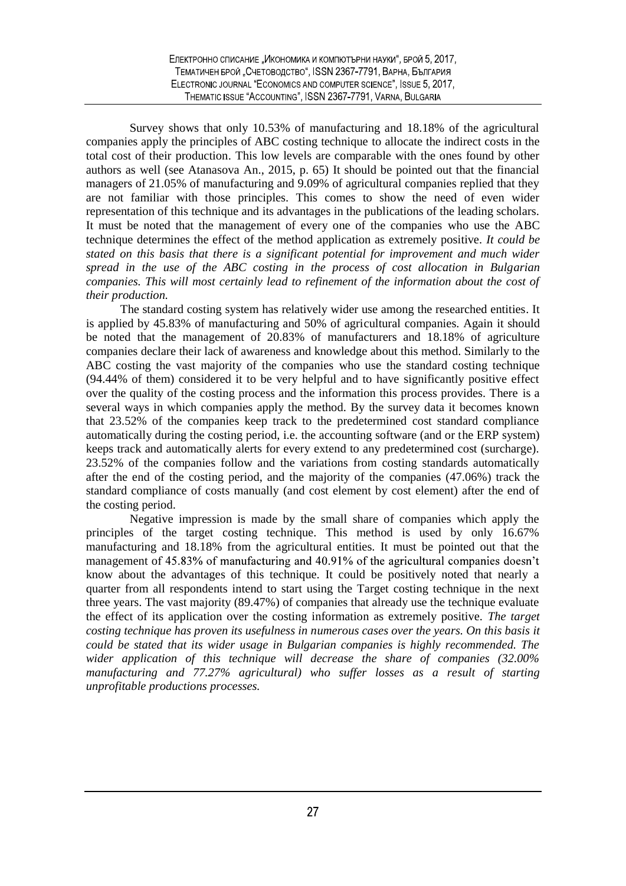Survey shows that only 10.53% of manufacturing and 18.18% of the agricultural companies apply the principles of ABC costing technique to allocate the indirect costs in the total cost of their production. This low levels are comparable with the ones found by other authors as well (see Atanasova An., 2015, p. 65) It should be pointed out that the financial managers of 21.05% of manufacturing and 9.09% of agricultural companies replied that they are not familiar with those principles. This comes to show the need of even wider representation of this technique and its advantages in the publications of the leading scholars. It must be noted that the management of every one of the companies who use the ABC technique determines the effect of the method application as extremely positive. *It could be stated on this basis that there is a significant potential for improvement and much wider spread in the use of the ABC costing in the process of cost allocation in Bulgarian companies. This will most certainly lead to refinement of the information about the cost of their production.*

The standard costing system has relatively wider use among the researched entities. It is applied by 45.83% of manufacturing and 50% of agricultural companies. Again it should be noted that the management of 20.83% of manufacturers and 18.18% of agriculture companies declare their lack of awareness and knowledge about this method. Similarly to the ABC costing the vast majority of the companies who use the standard costing technique (94.44% of them) considered it to be very helpful and to have significantly positive effect over the quality of the costing process and the information this process provides. There is a several ways in which companies apply the method. By the survey data it becomes known that 23.52% of the companies keep track to the predetermined cost standard compliance automatically during the costing period, i.e. the accounting software (and or the ERP system) keeps track and automatically alerts for every extend to any predetermined cost (surcharge). 23.52% of the companies follow and the variations from costing standards automatically after the end of the costing period, and the majority of the companies (47.06%) track the standard compliance of costs manually (and cost element by cost element) after the end of the costing period.

Negative impression is made by the small share of companies which apply the principles of the target costing technique. This method is used by only 16.67% manufacturing and 18.18% from the agricultural entities. It must be pointed out that the management of 45.83% of manufacturing and 40.91% of the agricultural companies doesn't know about the advantages of this technique. It could be positively noted that nearly a quarter from all respondents intend to start using the Target costing technique in the next three years. The vast majority (89.47%) of companies that already use the technique evaluate the effect of its application over the costing information as extremely positive. *The target costing technique has proven its usefulness in numerous cases over the years. On this basis it could be stated that its wider usage in Bulgarian companies is highly recommended. The wider application of this technique will decrease the share of companies (32.00% manufacturing and 77.27% agricultural) who suffer losses as a result of starting unprofitable productions processes.*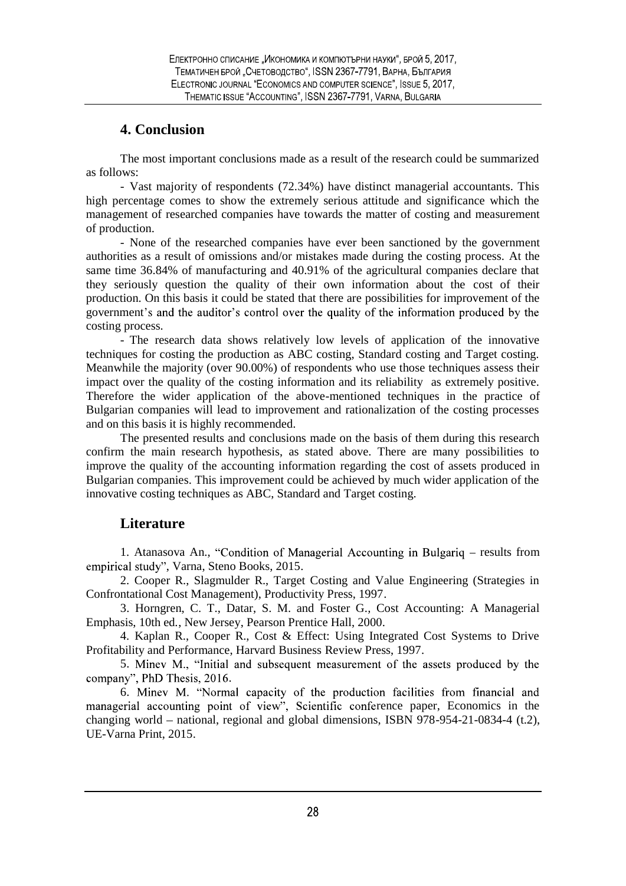## **4. Conclusion**

The most important conclusions made as a result of the research could be summarized as follows:

- Vast majority of respondents (72.34%) have distinct managerial accountants. This high percentage comes to show the extremely serious attitude and significance which the management of researched companies have towards the matter of costing and measurement of production.

- None of the researched companies have ever been sanctioned by the government authorities as a result of omissions and/or mistakes made during the costing process. At the same time 36.84% of manufacturing and 40.91% of the agricultural companies declare that they seriously question the quality of their own information about the cost of their production. On this basis it could be stated that there are possibilities for improvement of the government's and the auditor's control over the quality of the information produced by the costing process.

- The research data shows relatively low levels of application of the innovative techniques for costing the production as ABC costing, Standard costing and Target costing. Meanwhile the majority (over 90.00%) of respondents who use those techniques assess their impact over the quality of the costing information and its reliability as extremely positive. Therefore the wider application of the above-mentioned techniques in the practice of Bulgarian companies will lead to improvement and rationalization of the costing processes and on this basis it is highly recommended.

The presented results and conclusions made on the basis of them during this research confirm the main research hypothesis, as stated above. There are many possibilities to improve the quality of the accounting information regarding the cost of assets produced in Bulgarian companies. This improvement could be achieved by much wider application of the innovative costing techniques as ABC, Standard and Target costing.

## **Literature**

1. Atanasova An., "Condition of Managerial Accounting in Bulgariq – results from empirical study", Varna, Steno Books, 2015.

2. Cooper R., Slagmulder R., Target Costing and Value Engineering (Strategies in Confrontational Cost Management), Productivity Press, 1997.

3. Horngren, C. T., Datar, S. M. and Foster G*.,* Cost Accounting: A Managerial Emphasis, 10th ed*.*, New Jersey, Pearson Prentice Hall, 2000.

4. Kaplan R., Cooper R., Cost & Effect: Using Integrated Cost Systems to Drive Profitability and Performance, Harvard Business Review Press, 1997.

5. Miney M., "Initial and subsequent measurement of the assets produced by the company", PhD Thesis, 2016.

6. Minev M. "Normal capacity of the production facilities from financial and managerial accounting point of view", Scientific conference paper, Economics in the changing world – national, regional and global dimensions, ISBN 978-954-21-0834-4 (t.2), UE-Varna Print, 2015.